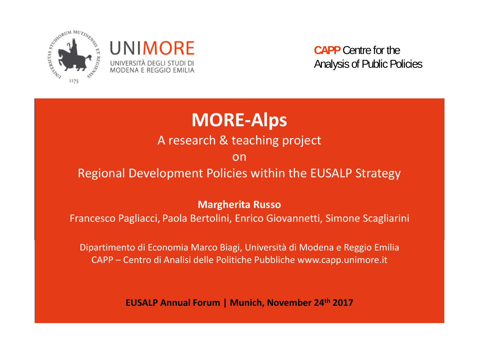

**CAPP** Centre for the Analysis of Public Policies

# **MORE‐Alps**

A research & teaching project

## onRegional Development Policies within the EUSALP Strategy

**Margherita Russo**

Francesco Pagliacci, Paola Bertolini, Enrico Giovannetti, Simone Scagliarini

Dipartimento di Economia Marco Biagi, Università di Modena e Reggio Emilia CAPP – Centro di Analisi delle Politiche Pubbliche www.capp.unimore.it

**EUSALP Annual Forum | Munich, November 24th 2017**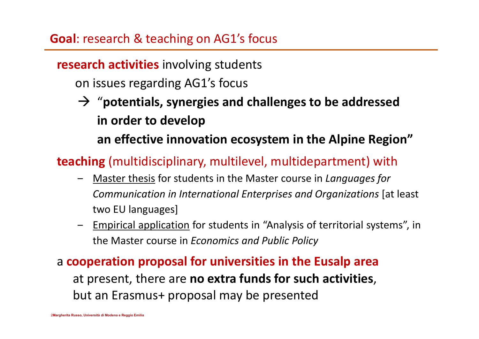**Goal**: research & teaching on AG1's focus

**research activities** involving students

on issues regarding AG1's focus

 $\rightarrow$  "potentials, synergies and challenges to be addressed **in order to develop an effective innovation ecosystem in the Alpine Region"**

**teaching** (multidisciplinary, multilevel, multidepartment) with

- ‒ Master thesis for students in the Master course in *Languages for Communication in International Enterprises and Organizations* [at least two EU languages]
- Empirical application for students in "Analysis of territorial systems", in the Master course in *Economics and Public Policy*

a **cooperation proposal for universities in the Eusalp area** at present, there are **no extra funds for such activities**, but an Erasmus+ proposal may be presented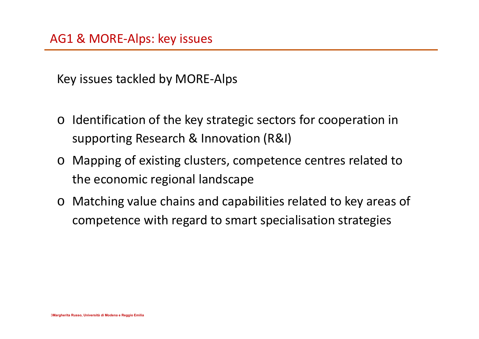Key issues tackled by MORE‐Alps

- o Identification of the key strategic sectors for cooperation in supporting Research & Innovation (R&I)
- o Mapping of existing clusters, competence centres related to the economic regional landscape
- o Matching value chains and capabilities related to key areas of competence with regard to smart specialisation strategies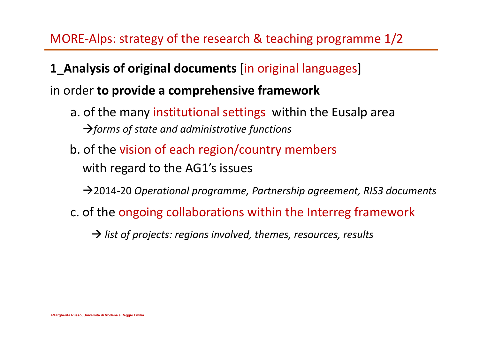# MORE‐Alps: strategy of the research & teaching programme 1/2

# **1\_Analysis of original documents** [in original languages] in order **to provide a comprehensive framework**

- a. of the many institutional settings within the Eusalp area  $\rightarrow$  forms of state and administrative functions
- b. of the vision of each region/country members with regard to the AG1's issues

2014‐20 *Operational programme, Partnership agreement, RIS3 documents*

c. of the ongoing collaborations within the Interreg framework

*list of projects: regions involved, themes, resources, results*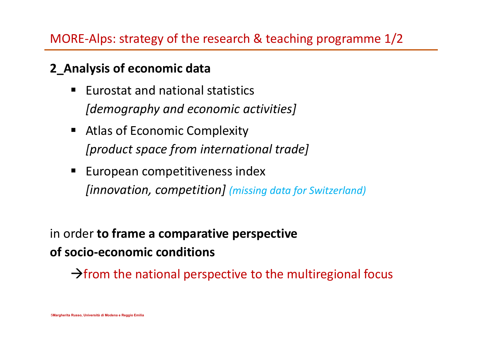# MORE‐Alps: strategy of the research & teaching programme 1/2

# **2\_Analysis of economic data**

- $\blacksquare$  Eurostat and national statistics *[demography and economic activities]*
- Atlas of Economic Complexity *[product space from international trade]*
- **European competitiveness index** *[innovation, competition] (missing data for Switzerland)*

in order **to frame a comparative perspective of socio‐economic conditions**

 $\rightarrow$  from the national perspective to the multiregional focus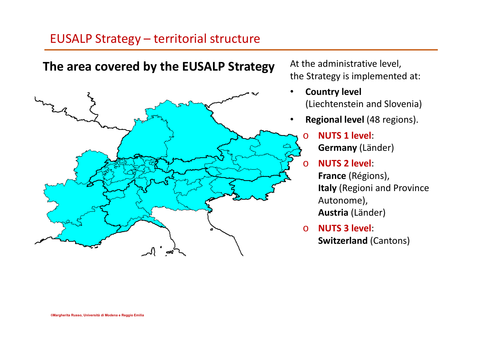### EUSALP Strategy – territorial structure



- **Country level**  (Liechtenstein and Slovenia)
- **Regional level** (48 regions).

# **NUTS 1 level**:

**Germany** (Länder)

#### **NUTS 2 level**:

**France** (Régions), **Italy** (Regioni and Province Autonome),

**Austria** (Länder)

#### **NUTS 3 level**:

**Switzerland** (Cantons)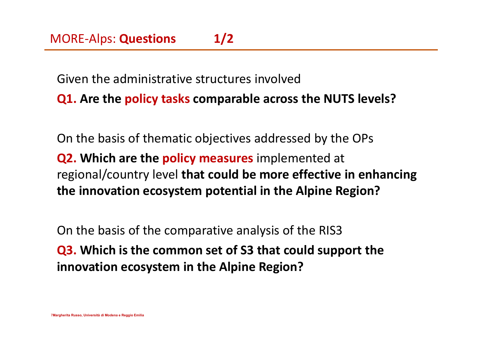Given the administrative structures involved **Q1. Are the policy tasks comparable across the NUTS levels?**

On the basis of thematic objectives addressed by the OPs **Q2. Which are the policy measures** implemented at regional/country level **that could be more effective in enhancing the innovation ecosystem potential in the Alpine Region?**

On the basis of the comparative analysis of the RIS3

**Q3. Which is the common set of S3 that could support the innovation ecosystem in the Alpine Region?**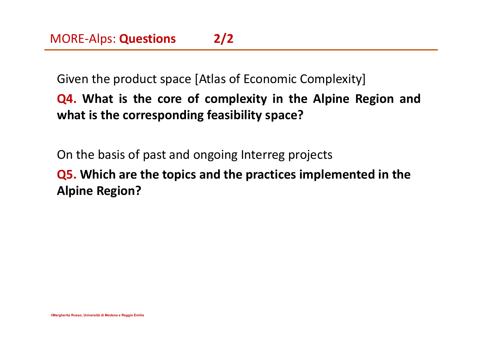Given the product space [Atlas of Economic Complexity]

**Q4. What is the core of complexity in the Alpine Region and what is the corresponding feasibility space?**

On the basis of past and ongoing Interreg projects

**Q5. Which are the topics and the practices implemented in the Alpine Region?**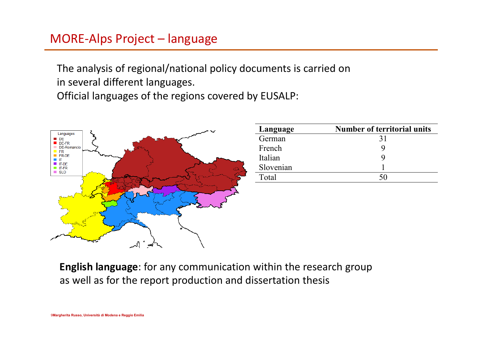### MORE‐Alps Project – language

The analysis of regional/national policy documents is carried on in several different languages.

Official languages of the regions covered by EUSALP:



**English language**: for any communication within the research group as well as for the report production and dissertation thesis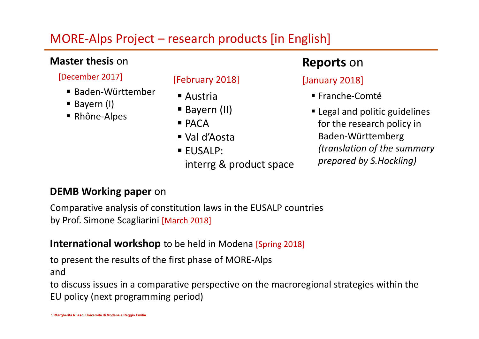# MORE‐Alps Project – research products [in English]

#### **Master thesis** on

#### [December 2017]

- Baden-Württember
- Bayern (I)
- Rhône-Alpes

#### [February 2018]

- Austria
- Bayern (II)
- $\blacksquare$  PACA
- Val d'Aosta
- **EUSALP:**

interrg & product space

### **Reports** on

#### [January 2018]

- Franche-Comté
- **Example 2** Legal and politic guidelines for the research policy in Baden‐Württemberg *(translation of the summary prepared by S.Hockling)*

#### **DEMB Working paper** on

Comparative analysis of constitution laws in the EUSALP countries by Prof. Simone Scagliarini [March 2018]

#### **International workshop** to be held in Modena [Spring 2018]

to present the results of the first phase of MORE‐Alps

and

to discuss issues in a comparative perspective on the macroregional strategies within the EU policy (next programming period)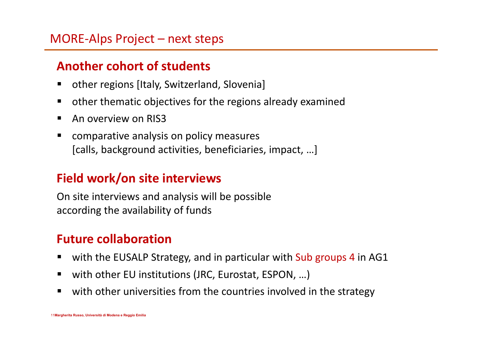## **Another cohort of students**

- ٠ other regions [Italy, Switzerland, Slovenia]
- ٠ other thematic objectives for the regions already examined
- ٠ An overview on RIS3
- ٠ comparative analysis on policy measures [calls, background activities, beneficiaries, impact, …]

# **Field work/on site interviews**

On site interviews and analysis will be possible according the availability of funds

## **Future collaboration**

- Ξ with the EUSALP Strategy, and in particular with Sub groups 4 in AG1
- Ξ with other EU institutions (JRC, Eurostat, ESPON, ...)
- Ξ with other universities from the countries involved in the strategy